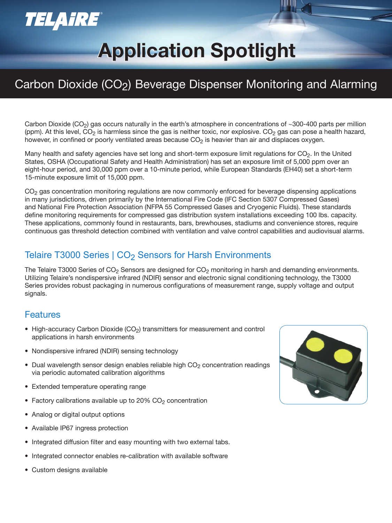## **TELAIRE®**

# **Application Spotlight Application Spotlight**

### Carbon Dioxide (CO2) Beverage Dispenser Monitoring and Alarming

Carbon Dioxide (CO<sub>2</sub>) gas occurs naturally in the earth's atmosphere in concentrations of ~300-400 parts per million (ppm). At this level, CO<sub>2</sub> is harmless since the gas is neither toxic, nor explosive. CO<sub>2</sub> gas can pose a health hazard, however, in confined or poorly ventilated areas because  $CO<sub>2</sub>$  is heavier than air and displaces oxygen.

Many health and safety agencies have set long and short-term exposure limit regulations for  $CO<sub>2</sub>$ . In the United States, OSHA (Occupational Safety and Health Administration) has set an exposure limit of 5,000 ppm over an eight-hour period, and 30,000 ppm over a 10-minute period, while European Standards (EH40) set a short-term 15-minute exposure limit of 15,000 ppm.

 $CO<sub>2</sub>$  gas concentration monitoring regulations are now commonly enforced for beverage dispensing applications in many jurisdictions, driven primarily by the International Fire Code (IFC Section 5307 Compressed Gases) and National Fire Protection Association (NFPA 55 Compressed Gases and Cryogenic Fluids). These standards define monitoring requirements for compressed gas distribution system installations exceeding 100 lbs. capacity. These applications, commonly found in restaurants, bars, brewhouses, stadiums and convenience stores, require continuous gas threshold detection combined with ventilation and valve control capabilities and audiovisual alarms.

#### Telaire T3000 Series | CO<sub>2</sub> Sensors for Harsh Environments

The Telaire T3000 Series of  $CO<sub>2</sub>$  Sensors are designed for  $CO<sub>2</sub>$  monitoring in harsh and demanding environments. Utilizing Telaire's nondispersive infrared (NDIR) sensor and electronic signal conditioning technology, the T3000 Series provides robust packaging in numerous configurations of measurement range, supply voltage and output signals.

#### Features

- High-accuracy Carbon Dioxide  $(CO<sub>2</sub>)$  transmitters for measurement and control applications in harsh environments
- Nondispersive infrared (NDIR) sensing technology
- Dual wavelength sensor design enables reliable high  $CO<sub>2</sub>$  concentration readings via periodic automated calibration algorithms
- Extended temperature operating range
- Factory calibrations available up to  $20\%$  CO<sub>2</sub> concentration
- Analog or digital output options
- Available IP67 ingress protection
- Integrated diffusion filter and easy mounting with two external tabs.
- Integrated connector enables re-calibration with available software
- Custom designs available